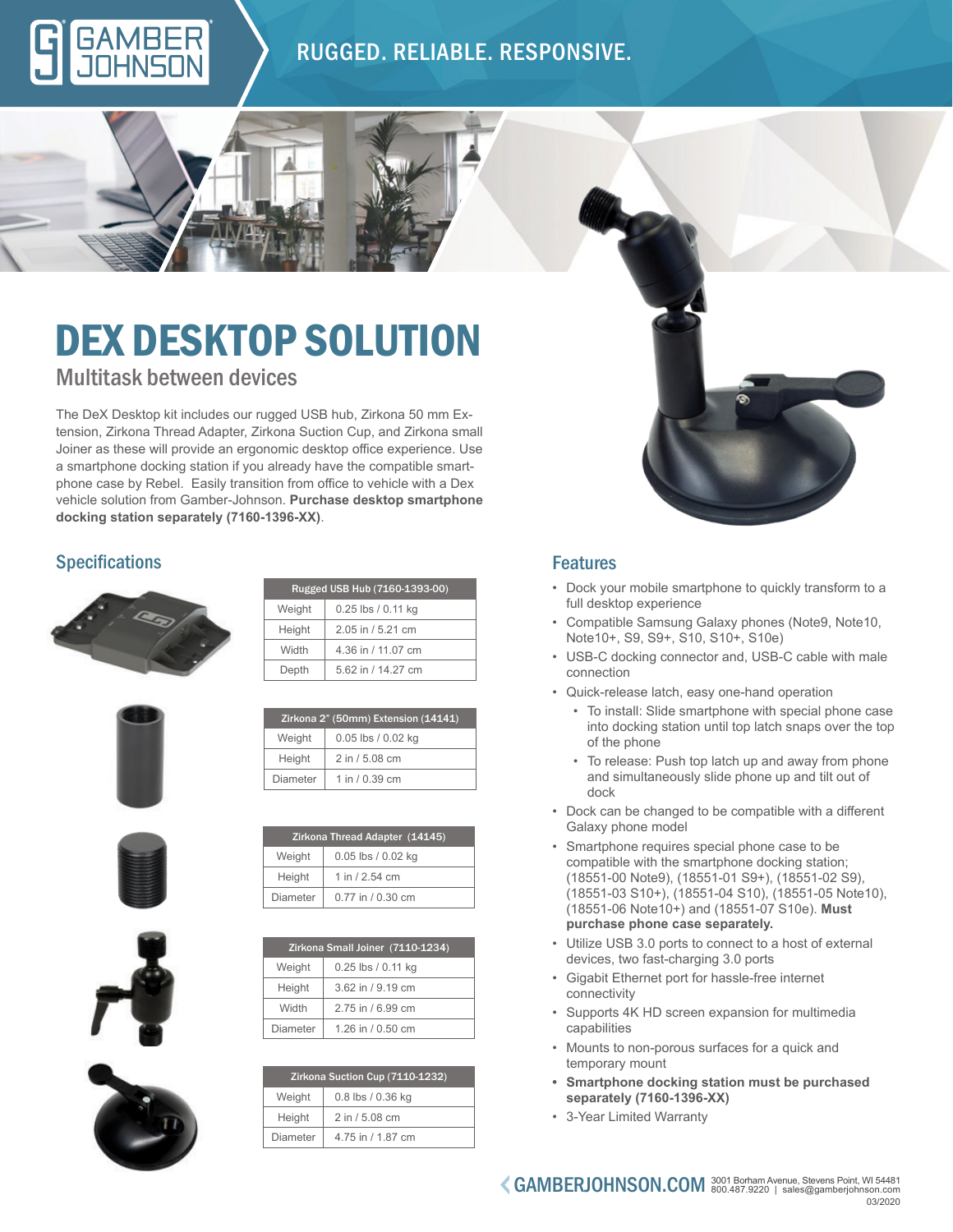### RUGGED. RELIABLE. RESPONSIVE.

## Multitask between devices DEX DESKTOP SOLUTION

The DeX Desktop kit includes our rugged USB hub, Zirkona 50 mm Extension, Zirkona Thread Adapter, Zirkona Suction Cup, and Zirkona small Joiner as these will provide an ergonomic desktop office experience. Use a smartphone docking station if you already have the compatible smartphone case by Rebel. Easily transition from office to vehicle with a Dex vehicle solution from Gamber-Johnson. **Purchase desktop smartphone docking station separately (7160-1396-XX)**.

### **Specifications**



| Weight | 0.25 lbs / 0.11 kg |
|--------|--------------------|
| Height | 2.05 in / 5.21 cm  |
| Width  | 4.36 in / 11.07 cm |
| Depth  | 5.62 in / 14.27 cm |
|        |                    |

Zirkona 2" (50mm) Extension (14141) Weight 0.05 lbs / 0.02 kg Height  $\vert$  2 in / 5.08 cm Diameter  $\vert$  1 in / 0.39 cm

Zirkona Thread Adapter (14145) Weight | 0.05 lbs / 0.02 kg Height  $\vert$  1 in / 2.54 cm Diameter  $\vert 0.77$  in / 0.30 cm

Rugged USB Hub (7160-1393-00)







| Zirkona Suction Cup (7110-1232) |                   |  |  |  |
|---------------------------------|-------------------|--|--|--|
| Weight                          | 0.8 lbs / 0.36 kg |  |  |  |
| Height                          | 2 in / 5.08 cm    |  |  |  |
| Diameter                        | 4.75 in / 1.87 cm |  |  |  |

### Features

- Dock your mobile smartphone to quickly transform to a full desktop experience
- Compatible Samsung Galaxy phones (Note9, Note10, Note10+, S9, S9+, S10, S10+, S10e)
- USB-C docking connector and, USB-C cable with male connection
- Quick-release latch, easy one-hand operation
	- To install: Slide smartphone with special phone case into docking station until top latch snaps over the top of the phone
	- To release: Push top latch up and away from phone and simultaneously slide phone up and tilt out of dock
- Dock can be changed to be compatible with a different Galaxy phone model
- Smartphone requires special phone case to be compatible with the smartphone docking station; (18551-00 Note9), (18551-01 S9+), (18551-02 S9), (18551-03 S10+), (18551-04 S10), (18551-05 Note10), (18551-06 Note10+) and (18551-07 S10e). **Must purchase phone case separately.**
- Utilize USB 3.0 ports to connect to a host of external devices, two fast-charging 3.0 ports
- Gigabit Ethernet port for hassle-free internet connectivity
- Supports 4K HD screen expansion for multimedia capabilities
- Mounts to non-porous surfaces for a quick and temporary mount
- **• Smartphone docking station must be purchased separately (7160-1396-XX)**
- 3-Year Limited Warranty